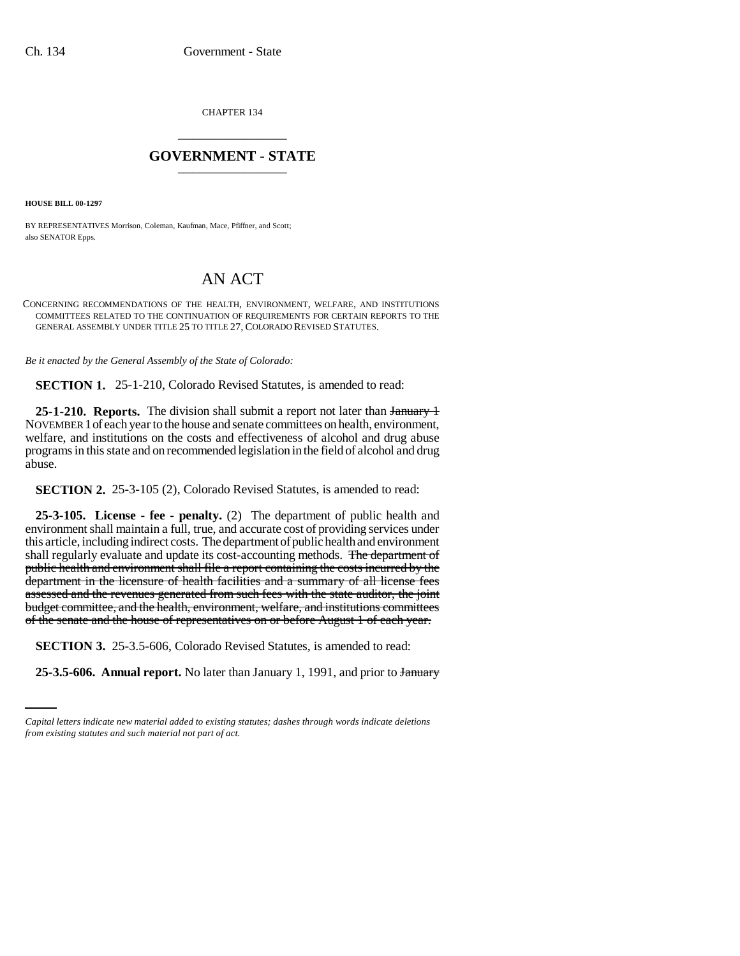CHAPTER 134 \_\_\_\_\_\_\_\_\_\_\_\_\_\_\_

## **GOVERNMENT - STATE** \_\_\_\_\_\_\_\_\_\_\_\_\_\_\_

**HOUSE BILL 00-1297** 

BY REPRESENTATIVES Morrison, Coleman, Kaufman, Mace, Pfiffner, and Scott; also SENATOR Epps.

## AN ACT

CONCERNING RECOMMENDATIONS OF THE HEALTH, ENVIRONMENT, WELFARE, AND INSTITUTIONS COMMITTEES RELATED TO THE CONTINUATION OF REQUIREMENTS FOR CERTAIN REPORTS TO THE GENERAL ASSEMBLY UNDER TITLE 25 TO TITLE 27, COLORADO REVISED STATUTES.

*Be it enacted by the General Assembly of the State of Colorado:*

**SECTION 1.** 25-1-210, Colorado Revised Statutes, is amended to read:

25-1-210. Reports. The division shall submit a report not later than January 1 NOVEMBER 1of each year to the house and senate committees on health, environment, welfare, and institutions on the costs and effectiveness of alcohol and drug abuse programs in this state and on recommended legislation in the field of alcohol and drug abuse.

**SECTION 2.** 25-3-105 (2), Colorado Revised Statutes, is amended to read:

**25-3-105. License - fee - penalty.** (2) The department of public health and environment shall maintain a full, true, and accurate cost of providing services under this article, including indirect costs. The department of public health and environment shall regularly evaluate and update its cost-accounting methods. The department of public health and environment shall file a report containing the costs incurred by the department in the licensure of health facilities and a summary of all license fees assessed and the revenues generated from such fees with the state auditor, the joint budget committee, and the health, environment, welfare, and institutions committees of the senate and the house of representatives on or before August 1 of each year.

 **SECTION 3.** 25-3.5-606, Colorado Revised Statutes, is amended to read:

**25-3.5-606. Annual report.** No later than January 1, 1991, and prior to January

*Capital letters indicate new material added to existing statutes; dashes through words indicate deletions from existing statutes and such material not part of act.*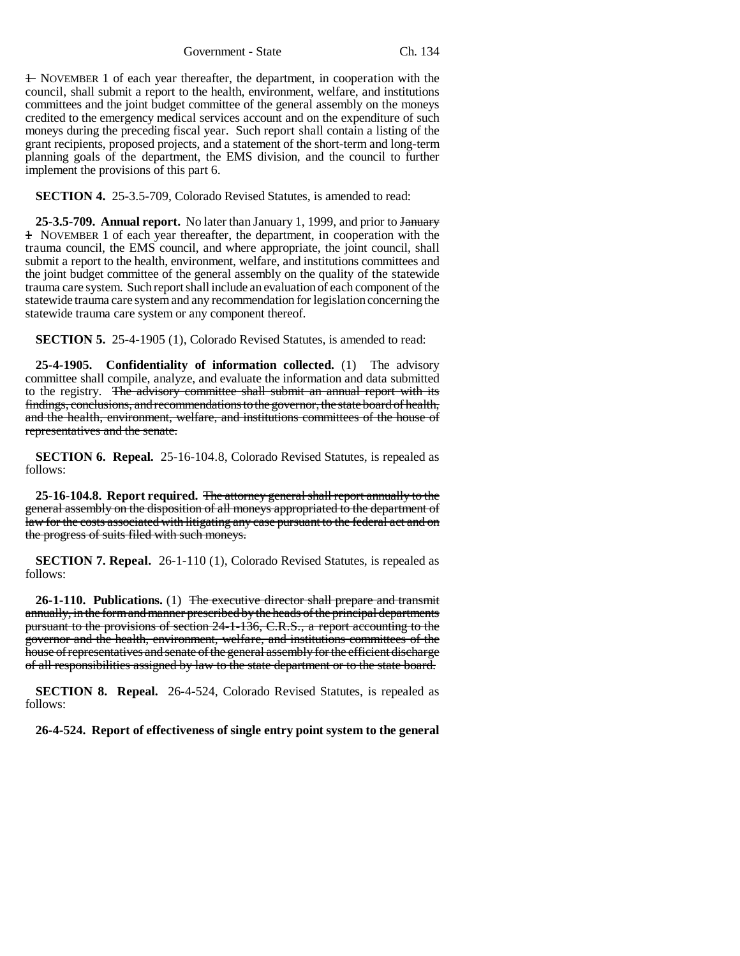Government - State Ch. 134

1 NOVEMBER 1 of each year thereafter, the department, in cooperation with the council, shall submit a report to the health, environment, welfare, and institutions committees and the joint budget committee of the general assembly on the moneys credited to the emergency medical services account and on the expenditure of such moneys during the preceding fiscal year. Such report shall contain a listing of the grant recipients, proposed projects, and a statement of the short-term and long-term planning goals of the department, the EMS division, and the council to further implement the provisions of this part 6.

**SECTION 4.** 25-3.5-709, Colorado Revised Statutes, is amended to read:

**25-3.5-709. Annual report.** No later than January 1, 1999, and prior to January 1 NOVEMBER 1 of each year thereafter, the department, in cooperation with the trauma council, the EMS council, and where appropriate, the joint council, shall submit a report to the health, environment, welfare, and institutions committees and the joint budget committee of the general assembly on the quality of the statewide trauma care system. Such report shall include an evaluation of each component of the statewide trauma care system and any recommendation for legislation concerning the statewide trauma care system or any component thereof.

**SECTION 5.** 25-4-1905 (1), Colorado Revised Statutes, is amended to read:

**25-4-1905. Confidentiality of information collected.** (1) The advisory committee shall compile, analyze, and evaluate the information and data submitted to the registry. The advisory committee shall submit an annual report with its findings, conclusions, and recommendations to the governor, the state board of health, and the health, environment, welfare, and institutions committees of the house of representatives and the senate.

**SECTION 6. Repeal.** 25-16-104.8, Colorado Revised Statutes, is repealed as follows:

**25-16-104.8. Report required.** The attorney general shall report annually to the general assembly on the disposition of all moneys appropriated to the department of law for the costs associated with litigating any case pursuant to the federal act and on the progress of suits filed with such moneys.

**SECTION 7. Repeal.** 26-1-110 (1), Colorado Revised Statutes, is repealed as follows:

**26-1-110. Publications.** (1) The executive director shall prepare and transmit annually, in the form and manner prescribed by the heads of the principal departments pursuant to the provisions of section 24-1-136, C.R.S., a report accounting to the governor and the health, environment, welfare, and institutions committees of the house of representatives and senate of the general assembly for the efficient discharge of all responsibilities assigned by law to the state department or to the state board.

**SECTION 8. Repeal.** 26-4-524, Colorado Revised Statutes, is repealed as follows:

**26-4-524. Report of effectiveness of single entry point system to the general**